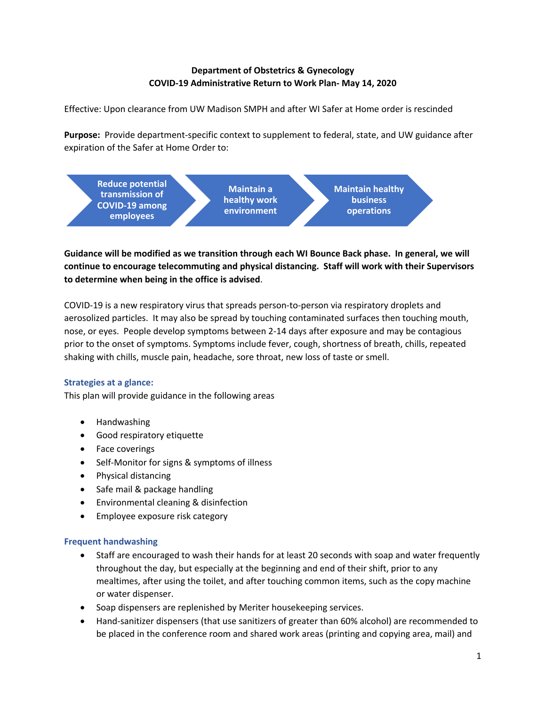# **Department of Obstetrics & Gynecology COVID-19 Administrative Return to Work Plan- May 14, 2020**

Effective: Upon clearance from UW Madison SMPH and after WI Safer at Home order is rescinded

**Purpose:** Provide department-specific context to supplement to federal, state, and UW guidance after expiration of the Safer at Home Order to:



**Guidance will be modified as we transition through each WI Bounce Back phase. In general, we will continue to encourage telecommuting and physical distancing. Staff will work with their Supervisors to determine when being in the office is advised**.

COVID-19 is a new respiratory virus that spreads person-to-person via respiratory droplets and aerosolized particles. It may also be spread by touching contaminated surfaces then touching mouth, nose, or eyes. People develop symptoms between 2-14 days after exposure and may be contagious prior to the onset of symptoms. Symptoms include fever, cough, shortness of breath, chills, repeated shaking with chills, muscle pain, headache, sore throat, new loss of taste or smell.

## **Strategies at a glance:**

This plan will provide guidance in the following areas

- Handwashing
- Good respiratory etiquette
- Face coverings
- Self-Monitor for signs & symptoms of illness
- Physical distancing
- Safe mail & package handling
- Environmental cleaning & disinfection
- Employee exposure risk category

## **Frequent handwashing**

- Staff are encouraged to wash their hands for at least 20 seconds with soap and water frequently throughout the day, but especially at the beginning and end of their shift, prior to any mealtimes, after using the toilet, and after touching common items, such as the copy machine or water dispenser.
- Soap dispensers are replenished by Meriter housekeeping services.
- Hand-sanitizer dispensers (that use sanitizers of greater than 60% alcohol) are recommended to be placed in the conference room and shared work areas (printing and copying area, mail) and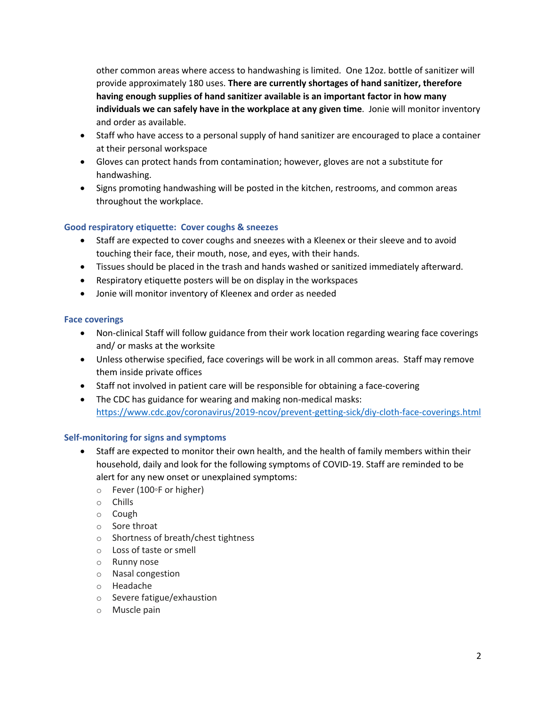other common areas where access to handwashing is limited. One 12oz. bottle of sanitizer will provide approximately 180 uses. **There are currently shortages of hand sanitizer, therefore having enough supplies of hand sanitizer available is an important factor in how many individuals we can safely have in the workplace at any given time**. Jonie will monitor inventory and order as available.

- Staff who have access to a personal supply of hand sanitizer are encouraged to place a container at their personal workspace
- Gloves can protect hands from contamination; however, gloves are not a substitute for handwashing.
- Signs promoting handwashing will be posted in the kitchen, restrooms, and common areas throughout the workplace.

## **Good respiratory etiquette: Cover coughs & sneezes**

- Staff are expected to cover coughs and sneezes with a Kleenex or their sleeve and to avoid touching their face, their mouth, nose, and eyes, with their hands.
- Tissues should be placed in the trash and hands washed or sanitized immediately afterward.
- Respiratory etiquette posters will be on display in the workspaces
- Jonie will monitor inventory of Kleenex and order as needed

### **Face coverings**

- Non-clinical Staff will follow guidance from their work location regarding wearing face coverings and/ or masks at the worksite
- Unless otherwise specified, face coverings will be work in all common areas. Staff may remove them inside private offices
- Staff not involved in patient care will be responsible for obtaining a face-covering
- The CDC has guidance for wearing and making non-medical masks: https://www.cdc.gov/coronavirus/2019-ncov/prevent-getting-sick/diy-cloth-face-coverings.html

### **Self-monitoring for signs and symptoms**

- Staff are expected to monitor their own health, and the health of family members within their household, daily and look for the following symptoms of COVID-19. Staff are reminded to be alert for any new onset or unexplained symptoms:
	- o Fever (100◦F or higher)
	- o Chills
	- o Cough
	- o Sore throat
	- o Shortness of breath/chest tightness
	- o Loss of taste or smell
	- o Runny nose
	- o Nasal congestion
	- o Headache
	- o Severe fatigue/exhaustion
	- o Muscle pain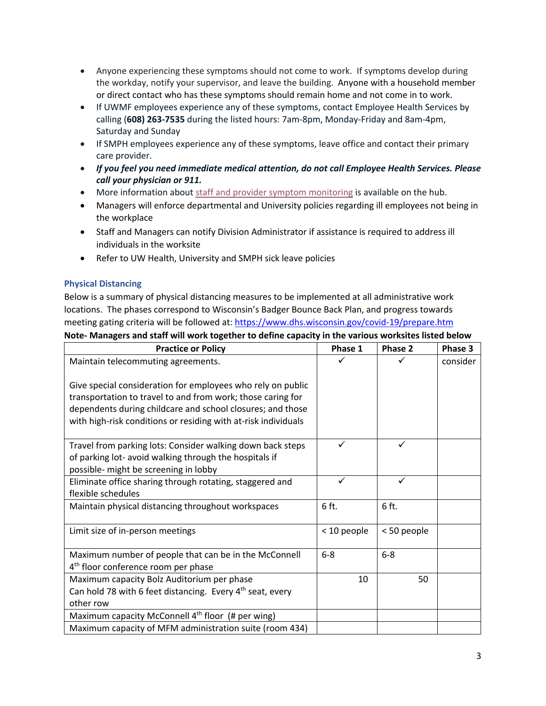- Anyone experiencing these symptoms should not come to work. If symptoms develop during the workday, notify your supervisor, and leave the building. Anyone with a household member or direct contact who has these symptoms should remain home and not come in to work.
- If UWMF employees experience any of these symptoms, contact Employee Health Services by calling (**608) 263-7535** during the listed hours: 7am-8pm, Monday-Friday and 8am-4pm, Saturday and Sunday
- If SMPH employees experience any of these symptoms, leave office and contact their primary care provider.
- *If you feel you need immediate medical attention, do not call Employee Health Services. Please call your physician or 911.*
- More information about staff and provider symptom monitoring is available on the hub.
- Managers will enforce departmental and University policies regarding ill employees not being in the workplace
- Staff and Managers can notify Division Administrator if assistance is required to address ill individuals in the worksite
- Refer to UW Health, University and SMPH sick leave policies

## **Physical Distancing**

Below is a summary of physical distancing measures to be implemented at all administrative work locations. The phases correspond to Wisconsin's Badger Bounce Back Plan, and progress towards meeting gating criteria will be followed at: https://www.dhs.wisconsin.gov/covid-19/prepare.htm **Note- Managers and staff will work together to define capacity in the various worksites listed below**

| <b>Practice or Policy</b>                                                                                                                                                                                                                                  | Phase 1     | Phase 2     | Phase 3  |
|------------------------------------------------------------------------------------------------------------------------------------------------------------------------------------------------------------------------------------------------------------|-------------|-------------|----------|
| Maintain telecommuting agreements.                                                                                                                                                                                                                         |             |             | consider |
| Give special consideration for employees who rely on public<br>transportation to travel to and from work; those caring for<br>dependents during childcare and school closures; and those<br>with high-risk conditions or residing with at-risk individuals |             |             |          |
|                                                                                                                                                                                                                                                            | ✓           | ✓           |          |
| Travel from parking lots: Consider walking down back steps<br>of parking lot- avoid walking through the hospitals if<br>possible- might be screening in lobby                                                                                              |             |             |          |
| Eliminate office sharing through rotating, staggered and                                                                                                                                                                                                   |             | ✓           |          |
| flexible schedules                                                                                                                                                                                                                                         |             |             |          |
| Maintain physical distancing throughout workspaces                                                                                                                                                                                                         | 6 ft.       | 6 ft.       |          |
| Limit size of in-person meetings                                                                                                                                                                                                                           | < 10 people | < 50 people |          |
| Maximum number of people that can be in the McConnell<br>4 <sup>th</sup> floor conference room per phase                                                                                                                                                   | $6-8$       | $6-8$       |          |
| Maximum capacity Bolz Auditorium per phase<br>Can hold 78 with 6 feet distancing. Every 4 <sup>th</sup> seat, every<br>other row                                                                                                                           | 10          | 50          |          |
| Maximum capacity McConnell 4 <sup>th</sup> floor (# per wing)                                                                                                                                                                                              |             |             |          |
| Maximum capacity of MFM administration suite (room 434)                                                                                                                                                                                                    |             |             |          |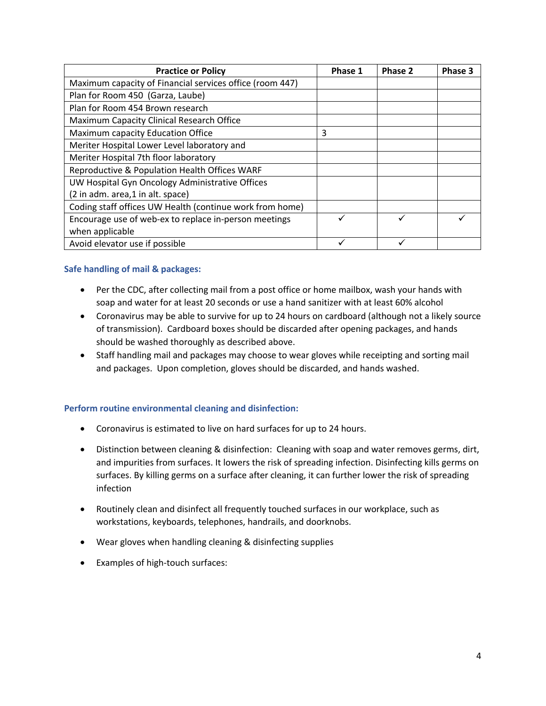| <b>Practice or Policy</b>                                | Phase 1 | Phase 2 | Phase 3 |
|----------------------------------------------------------|---------|---------|---------|
| Maximum capacity of Financial services office (room 447) |         |         |         |
| Plan for Room 450 (Garza, Laube)                         |         |         |         |
| Plan for Room 454 Brown research                         |         |         |         |
| Maximum Capacity Clinical Research Office                |         |         |         |
| Maximum capacity Education Office                        | 3       |         |         |
| Meriter Hospital Lower Level laboratory and              |         |         |         |
| Meriter Hospital 7th floor laboratory                    |         |         |         |
| Reproductive & Population Health Offices WARF            |         |         |         |
| UW Hospital Gyn Oncology Administrative Offices          |         |         |         |
| (2 in adm. area,1 in alt. space)                         |         |         |         |
| Coding staff offices UW Health (continue work from home) |         |         |         |
| Encourage use of web-ex to replace in-person meetings    |         | ✓       |         |
| when applicable                                          |         |         |         |
| Avoid elevator use if possible                           |         |         |         |

## **Safe handling of mail & packages:**

- Per the CDC, after collecting mail from a post office or home mailbox, wash your hands with soap and water for at least 20 seconds or use a hand sanitizer with at least 60% alcohol
- Coronavirus may be able to survive for up to 24 hours on cardboard (although not a likely source of transmission). Cardboard boxes should be discarded after opening packages, and hands should be washed thoroughly as described above.
- Staff handling mail and packages may choose to wear gloves while receipting and sorting mail and packages. Upon completion, gloves should be discarded, and hands washed.

## **Perform routine environmental cleaning and disinfection:**

- Coronavirus is estimated to live on hard surfaces for up to 24 hours.
- Distinction between cleaning & disinfection: Cleaning with soap and water removes germs, dirt, and impurities from surfaces. It lowers the risk of spreading infection. Disinfecting kills germs on surfaces. By killing germs on a surface after cleaning, it can further lower the risk of spreading infection
- Routinely clean and disinfect all frequently touched surfaces in our workplace, such as workstations, keyboards, telephones, handrails, and doorknobs.
- Wear gloves when handling cleaning & disinfecting supplies
- Examples of high-touch surfaces: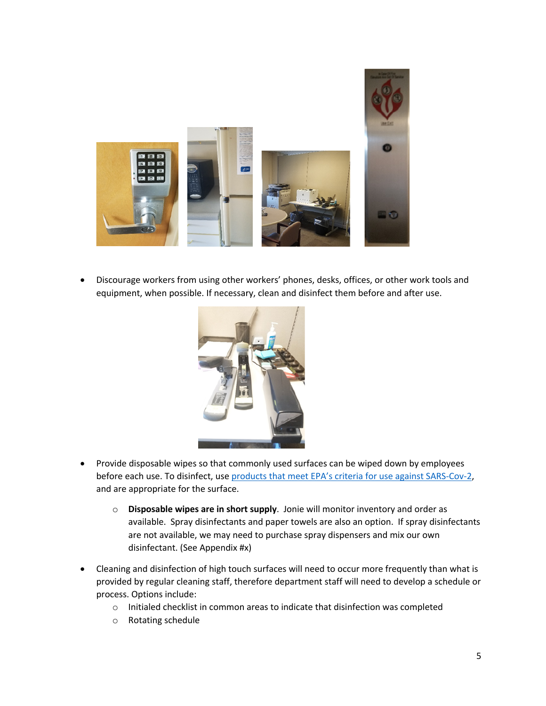

• Discourage workers from using other workers' phones, desks, offices, or other work tools and equipment, when possible. If necessary, clean and disinfect them before and after use.



- Provide disposable wipes so that commonly used surfaces can be wiped down by employees before each use. To disinfect, use products that meet EPA's criteria for use against SARS-Cov-2, and are appropriate for the surface.
	- o **Disposable wipes are in short supply**. Jonie will monitor inventory and order as available. Spray disinfectants and paper towels are also an option. If spray disinfectants are not available, we may need to purchase spray dispensers and mix our own disinfectant. (See Appendix #x)
- Cleaning and disinfection of high touch surfaces will need to occur more frequently than what is provided by regular cleaning staff, therefore department staff will need to develop a schedule or process. Options include:
	- o Initialed checklist in common areas to indicate that disinfection was completed
	- o Rotating schedule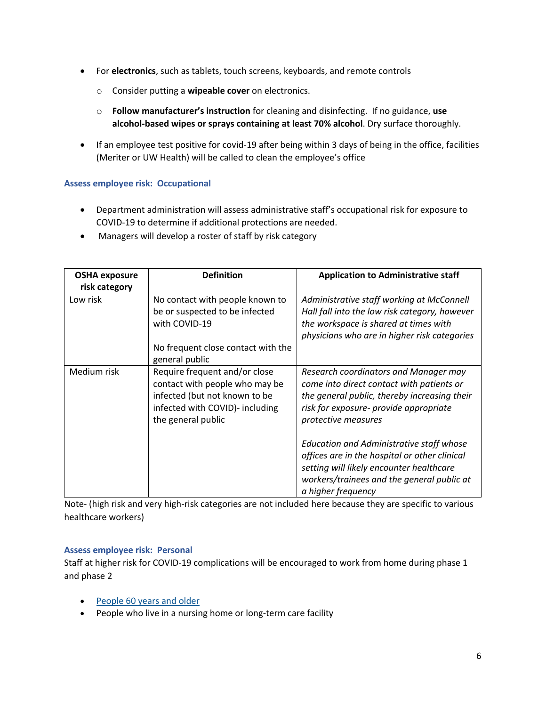- For **electronics**, such as tablets, touch screens, keyboards, and remote controls
	- o Consider putting a **wipeable cover** on electronics.
	- o **Follow manufacturer's instruction** for cleaning and disinfecting. If no guidance, **use alcohol-based wipes or sprays containing at least 70% alcohol**. Dry surface thoroughly.
- If an employee test positive for covid-19 after being within 3 days of being in the office, facilities (Meriter or UW Health) will be called to clean the employee's office

## **Assess employee risk: Occupational**

- Department administration will assess administrative staff's occupational risk for exposure to COVID-19 to determine if additional protections are needed.
- Managers will develop a roster of staff by risk category

| <b>OSHA exposure</b><br>risk category | <b>Definition</b>                                                                                                                                         | <b>Application to Administrative staff</b>                                                                                                                                                                |
|---------------------------------------|-----------------------------------------------------------------------------------------------------------------------------------------------------------|-----------------------------------------------------------------------------------------------------------------------------------------------------------------------------------------------------------|
| Low risk                              | No contact with people known to<br>be or suspected to be infected<br>with COVID-19                                                                        | Administrative staff working at McConnell<br>Hall fall into the low risk category, however<br>the workspace is shared at times with<br>physicians who are in higher risk categories                       |
|                                       | No frequent close contact with the<br>general public                                                                                                      |                                                                                                                                                                                                           |
| Medium risk                           | Require frequent and/or close<br>contact with people who may be<br>infected (but not known to be<br>infected with COVID)- including<br>the general public | Research coordinators and Manager may<br>come into direct contact with patients or<br>the general public, thereby increasing their<br>risk for exposure- provide appropriate<br>protective measures       |
|                                       |                                                                                                                                                           | Education and Administrative staff whose<br>offices are in the hospital or other clinical<br>setting will likely encounter healthcare<br>workers/trainees and the general public at<br>a higher frequency |

Note- (high risk and very high-risk categories are not included here because they are specific to various healthcare workers)

### **Assess employee risk: Personal**

Staff at higher risk for COVID-19 complications will be encouraged to work from home during phase 1 and phase 2

- People 60 years and older
- People who live in a nursing home or long-term care facility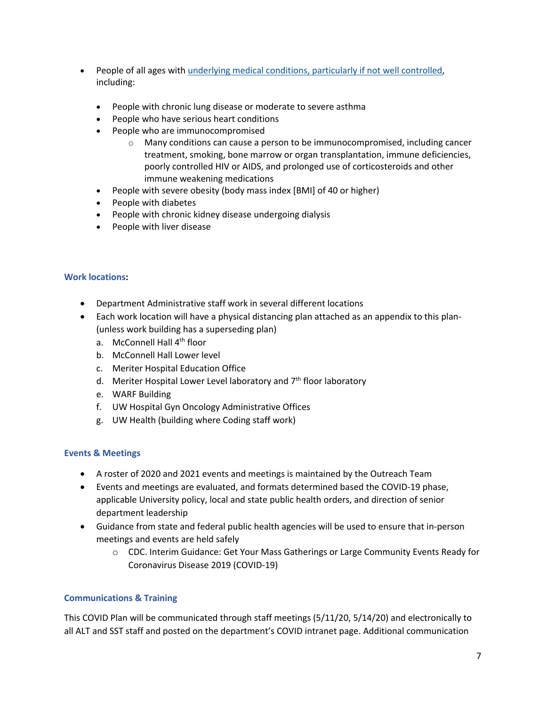- People of all ages with underlying medical conditions, particularly if not well controlled, including:
	- People with chronic lung disease or moderate to severe asthma
	- People who have serious heart conditions
	- People who are immunocompromised
		- o Many conditions can cause a person to be immunocompromised, including cancer treatment, smoking, bone marrow or organ transplantation, immune deficiencies, poorly controlled HIV or AIDS, and prolonged use of corticosteroids and other immune weakening medications
	- People with severe obesity (body mass index [BMI] of 40 or higher)
	- People with diabetes
	- People with chronic kidney disease undergoing dialysis
	- People with liver disease

#### **Work locations:**

- Department Administrative staff work in several different locations
- Each work location will have a physical distancing plan attached as an appendix to this plan- (unless work building has a superseding plan)
	- a. McConnell Hall 4<sup>th</sup> floor
	- b. McConnell Hall Lower level
	- c. Meriter Hospital Education Office
	- d. Meriter Hospital Lower Level laboratory and  $7<sup>th</sup>$  floor laboratory
	- e. WARF Building
	- f. UW Hospital Gyn Oncology Administrative Offices
	- g. UW Health (building where Coding staff work)

### **Events & Meetings**

- A roster of 2020 and 2021 events and meetings is maintained by the Outreach Team
- Events and meetings are evaluated, and formats determined based the COVID-19 phase, applicable University policy, local and state public health orders, and direction of senior department leadership
- Guidance from state and federal public health agencies will be used to ensure that in-person meetings and events are held safely
	- o CDC. Interim Guidance: Get Your Mass Gatherings or Large Community Events Ready for Coronavirus Disease 2019 (COVID-19)

### **Communications & Training**

This COVID Plan will be communicated through staff meetings (5/11/20, 5/14/20) and electronically to all ALT and SST staff and posted on the department's COVID intranet page. Additional communication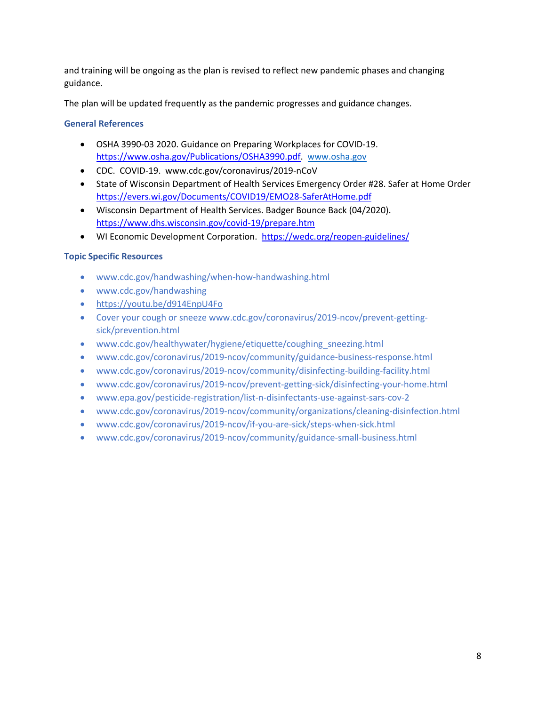and training will be ongoing as the plan is revised to reflect new pandemic phases and changing guidance.

The plan will be updated frequently as the pandemic progresses and guidance changes.

## **General References**

- OSHA 3990-03 2020. Guidance on Preparing Workplaces for COVID-19. https://www.osha.gov/Publications/OSHA3990.pdf. www.osha.gov
- CDC. COVID-19. www.cdc.gov/coronavirus/2019-nCoV
- State of Wisconsin Department of Health Services Emergency Order #28. Safer at Home Order https://evers.wi.gov/Documents/COVID19/EMO28-SaferAtHome.pdf
- Wisconsin Department of Health Services. Badger Bounce Back (04/2020). https://www.dhs.wisconsin.gov/covid-19/prepare.htm
- WI Economic Development Corporation. https://wedc.org/reopen-guidelines/

## **Topic Specific Resources**

- www.cdc.gov/handwashing/when-how-handwashing.html
- www.cdc.gov/handwashing
- https://youtu.be/d914EnpU4Fo
- Cover your cough or sneeze www.cdc.gov/coronavirus/2019-ncov/prevent-gettingsick/prevention.html
- www.cdc.gov/healthywater/hygiene/etiquette/coughing sneezing.html
- www.cdc.gov/coronavirus/2019-ncov/community/guidance-business-response.html
- www.cdc.gov/coronavirus/2019-ncov/community/disinfecting-building-facility.html
- www.cdc.gov/coronavirus/2019-ncov/prevent-getting-sick/disinfecting-your-home.html
- www.epa.gov/pesticide-registration/list-n-disinfectants-use-against-sars-cov-2
- www.cdc.gov/coronavirus/2019-ncov/community/organizations/cleaning-disinfection.html
- www.cdc.gov/coronavirus/2019-ncov/if-you-are-sick/steps-when-sick.html
- www.cdc.gov/coronavirus/2019-ncov/community/guidance-small-business.html